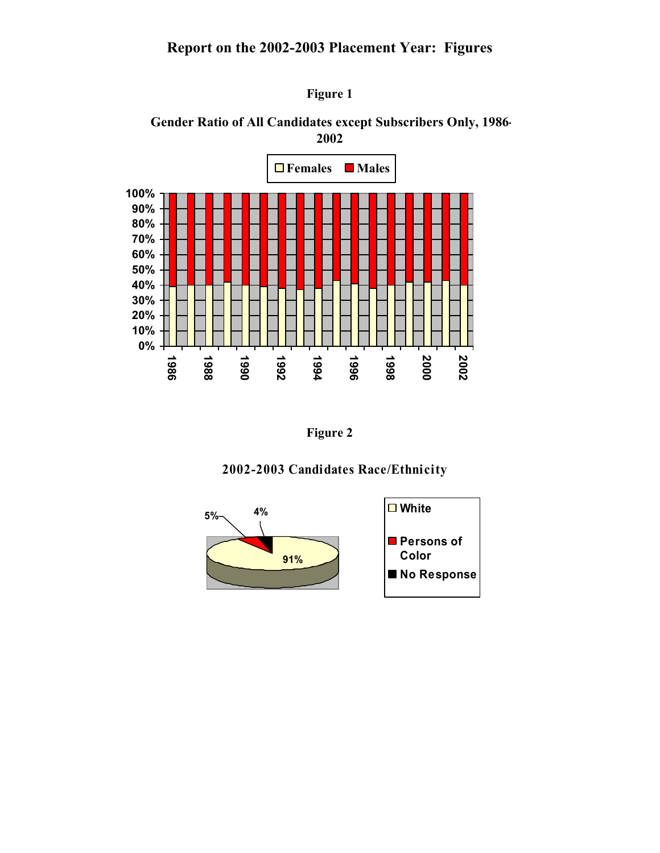## **Report on the 2002-2003 Placement Year: Figures**







**Figure 2** 

### **2002-2003 Candidates Race/Ethnicity**

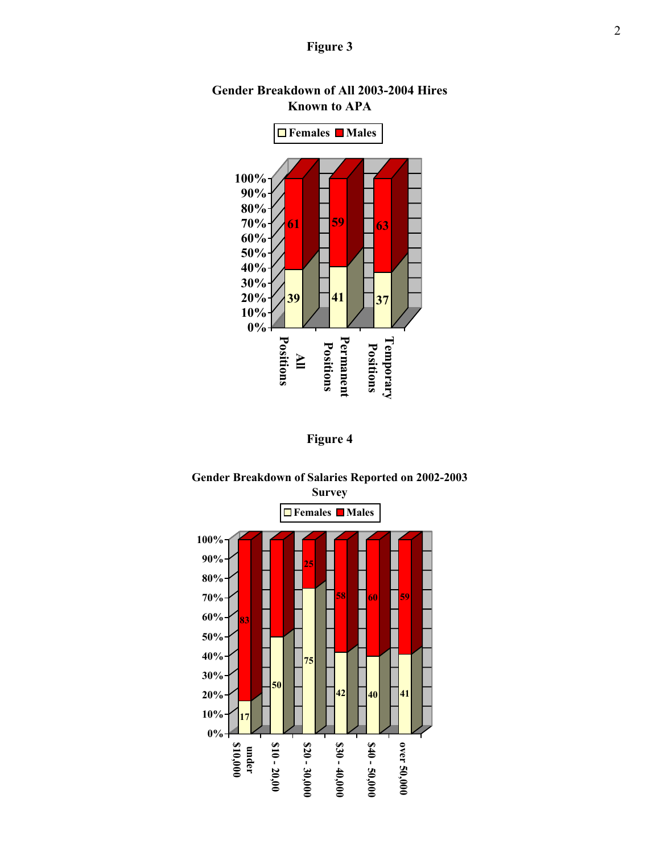### **Figure 3**



## **Gender Breakdown of All 2003-2004 Hires Known to APA**





# **Gender Breakdown of Salaries Reported on 2002-2003**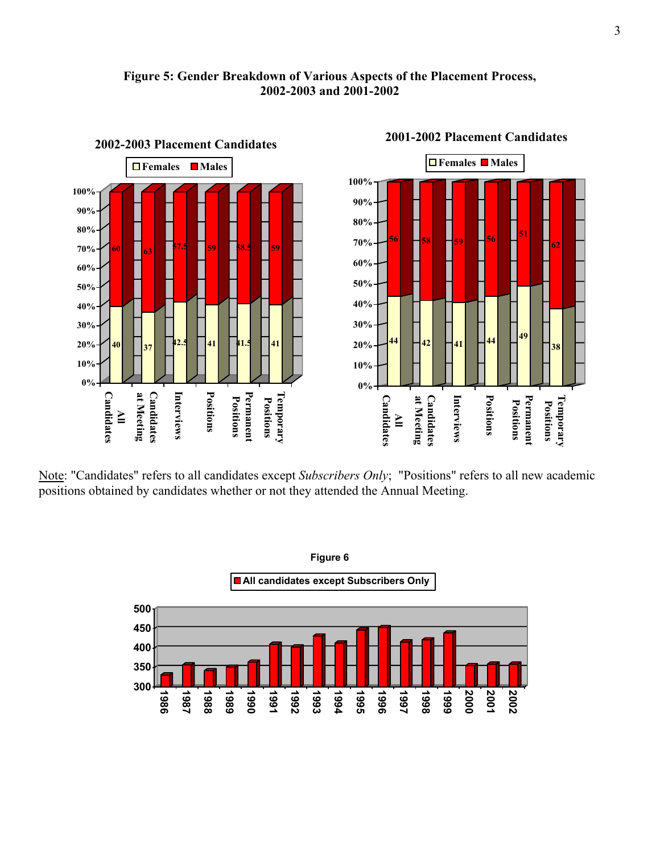



### Note: "Candidates" refers to all candidates except *Subscribers Only*; "Positions" refers to all new academic positions obtained by candidates whether or not they attended the Annual Meeting.



#### **2001-2002 Placement Candidates**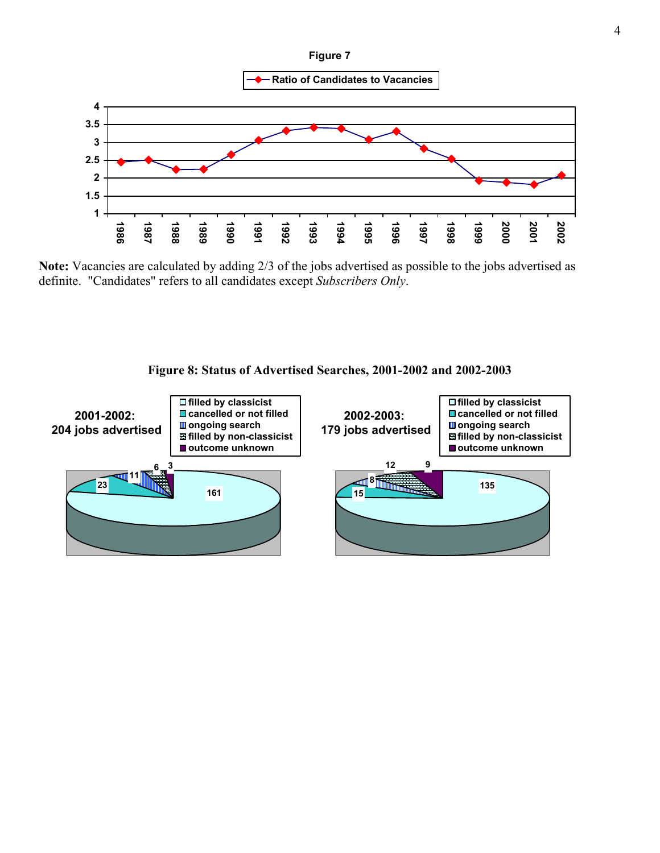

**Ratio of Candidates to Vacancies**



**Note:** Vacancies are calculated by adding 2/3 of the jobs advertised as possible to the jobs advertised as definite. "Candidates" refers to all candidates except *Subscribers Only*.



### **Figure 8: Status of Advertised Searches, 2001-2002 and 2002-2003**